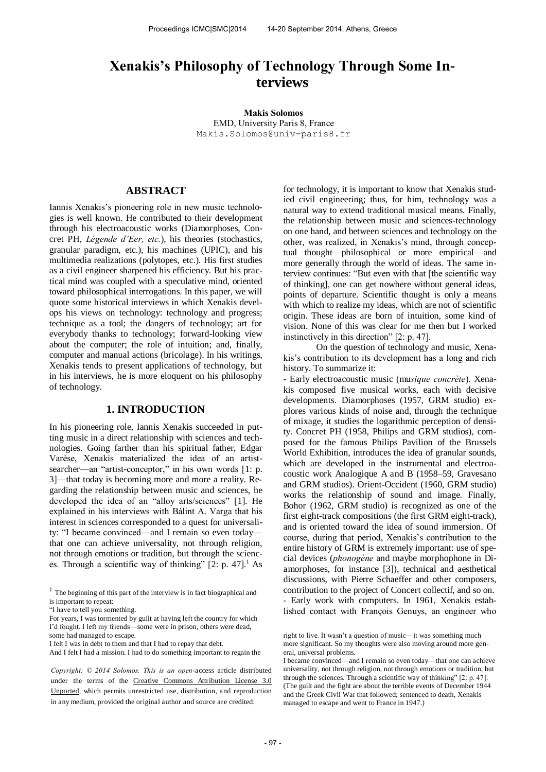# **Xenakis's Philosophy of Technology Through Some Interviews**

**Makis Solomos**  EMD, University Paris 8, France [Makis.Solomos@univ-paris8.fr](mailto:author2@smcnetwork.org)

# **ABSTRACT**

Iannis Xenakis's pioneering role in new music technologies is well known. He contributed to their development through his electroacoustic works (Diamorphoses, Concret PH, *Légende d'Eer, etc.*), his theories (stochastics, granular paradigm, etc.), his machines (UPIC), and his multimedia realizations (polytopes, etc.). His first studies as a civil engineer sharpened his efficiency. But his practical mind was coupled with a speculative mind, oriented toward philosophical interrogations. In this paper, we will quote some historical interviews in which Xenakis develops his views on technology: technology and progress; technique as a tool; the dangers of technology; art for everybody thanks to technology; forward-looking view about the computer; the role of intuition; and, finally, computer and manual actions (bricolage). In his writings, Xenakis tends to present applications of technology, but in his interviews, he is more eloquent on his philosophy of technology.

#### **1. INTRODUCTION**

In his pioneering role, Iannis Xenakis succeeded in putting music in a direct relationship with sciences and technologies. Going farther than his spiritual father, Edgar Varèse, Xenakis materialized the idea of an artistsearcher—an "artist-conceptor," in his own words [1: p. 3]—that today is becoming more and more a reality. Regarding the relationship between music and sciences, he developed the idea of an "alloy arts/sciences" [1]. He explained in his interviews with Bálint A. Varga that his interest in sciences corresponded to a quest for universality: "I became convinced—and I remain so even today that one can achieve universality, not through religion, not through emotions or tradition, but through the sciences. Through a scientific way of thinking"  $[2: p. 47]$ .<sup>1</sup> As

for technology, it is important to know that Xenakis studied civil engineering; thus, for him, technology was a natural way to extend traditional musical means. Finally, the relationship between music and sciences-technology on one hand, and between sciences and technology on the other, was realized, in Xenakis's mind, through conceptual thought—philosophical or more empirical—and more generally through the world of ideas. The same interview continues: "But even with that [the scientific way of thinking], one can get nowhere without general ideas, points of departure. Scientific thought is only a means with which to realize my ideas, which are not of scientific origin. These ideas are born of intuition, some kind of vision. None of this was clear for me then but I worked instinctively in this direction" [2: p. 47].

 On the question of technology and music, Xenakis's contribution to its development has a long and rich history. To summarize it:

- Early electroacoustic music (musique concrète). Xenakis composed five musical works, each with decisive developments. Diamorphoses (1957, GRM studio) explores various kinds of noise and, through the technique of mixage, it studies the logarithmic perception of density. Concret PH (1958, Philips and GRM studios), composed for the famous Philips Pavilion of the Brussels World Exhibition, introduces the idea of granular sounds, which are developed in the instrumental and electroacoustic work Analogique A and B (1958–59, Gravesano and GRM studios). Orient-Occident (1960, GRM studio) works the relationship of sound and image. Finally, Bohor (1962, GRM studio) is recognized as one of the first eight-track compositions (the first GRM eight-track), and is oriented toward the idea of sound immersion. Of course, during that period, Xenakis's contribution to the entire history of GRM is extremely important: use of special devices (*phonogène* and maybe morphophone in Diamorphoses, for instance [3]), technical and aesthetical discussions, with Pierre Schaeffer and other composers, contribution to the project of Concert collectif, and so on. - Early work with computers. In 1961, Xenakis established contact with François Genuys, an engineer who

 $1$  The beginning of this part of the interview is in fact biographical and is important to repeat:

<sup>&</sup>quot;I have to tell you something.

For years, I was tormented by guilt at having left the country for which I'd fought. I left my friends—some were in prison, others were dead, some had managed to escape.

I felt I was in debt to them and that I had to repay that debt.

And I felt I had a mission. I had to do something important to regain the

*Copyright:* © 2014 Solomos. This is an open-access article distributed under the terms of the [Creative Commons Attribution License 3.0](http://creativecommons.org/licenses/by/3.0/)  [Unported,](http://creativecommons.org/licenses/by/3.0/) which permits unrestricted use, distribution, and reproduction in any medium, provided the original author and source are credited.

right to live. It wasn't a question of music—it was something much more significant. So my thoughts were also moving around more general, universal problems.

I became convinced—and I remain so even today—that one can achieve universality, not through religion, not through emotions or tradition, but through the sciences. Through a scientific way of thinking" [2: p. 47]. (The guilt and the fight are about the terrible events of December 1944 and the Greek Civil War that followed; sentenced to death, Xenakis managed to escape and went to France in 1947.)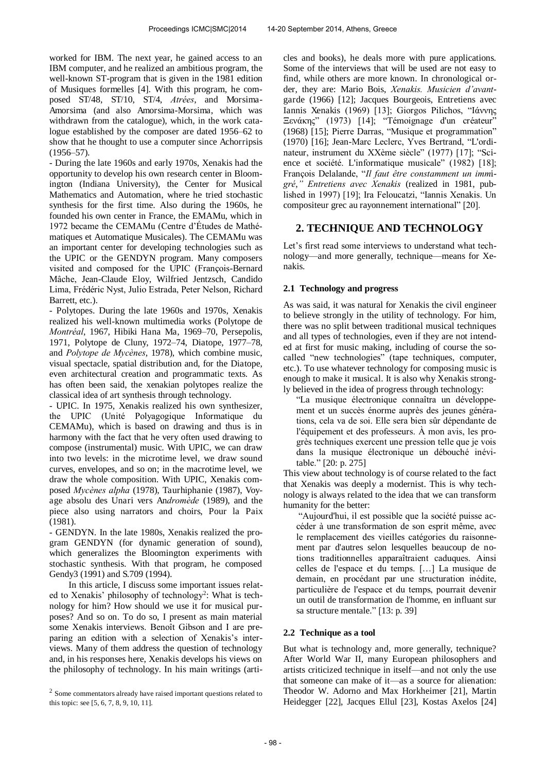worked for IBM. The next year, he gained access to an IBM computer, and he realized an ambitious program, the well-known ST-program that is given in the 1981 edition of Musiques formelles [4]. With this program, he composed ST/48, ST/10, ST/4, *Atrées*, and Morsima-Amorsima (and also Amorsima-Morsima, which was withdrawn from the catalogue), which, in the work catalogue established by the composer are dated 1956–62 to show that he thought to use a computer since Achorripsis  $(1956 - 57)$ .

- During the late 1960s and early 1970s, Xenakis had the opportunity to develop his own research center in Bloomington (Indiana University), the Center for Musical Mathematics and Automation, where he tried stochastic synthesis for the first time. Also during the 1960s, he founded his own center in France, the EMAMu, which in 1972 became the CEMAMu (Centre d'Études de Mathématiques et Automatique Musicales). The CEMAMu was an important center for developing technologies such as the UPIC or the GENDYN program. Many composers visited and composed for the UPIC (François-Bernard Mâche, Jean-Claude Eloy, Wilfried Jentzsch, Candido Lima, Frédéric Nyst, Julio Estrada, Peter Nelson, Richard Barrett, etc.).

- Polytopes. During the late 1960s and 1970s, Xenakis realized his well-known multimedia works (Polytope de *Montréal*, 1967, Hibiki Hana Ma, 1969–70, Persepolis, 1971, Polytope de Cluny, 1972–74, Diatope, 1977–78, and *Polytope de Mycènes*, 1978), which combine music, visual spectacle, spatial distribution and, for the Diatope, even architectural creation and programmatic texts. As has often been said, the xenakian polytopes realize the classical idea of art synthesis through technology.

- UPIC. In 1975, Xenakis realized his own synthesizer, the UPIC (Unité Polyagogique Informatique du CEMAMu), which is based on drawing and thus is in harmony with the fact that he very often used drawing to compose (instrumental) music. With UPIC, we can draw into two levels: in the microtime level, we draw sound curves, envelopes, and so on; in the macrotime level, we draw the whole composition. With UPIC, Xenakis composed *Mycènes alpha* (1978), Taurhiphanie (1987), Voyage absolu des Unari vers An*dromède* (1989), and the piece also using narrators and choirs, Pour la Paix (1981).

- GENDYN. In the late 1980s, Xenakis realized the program GENDYN (for dynamic generation of sound), which generalizes the Bloomington experiments with stochastic synthesis. With that program, he composed Gendy3 (1991) and S.709 (1994).

In this article, I discuss some important issues related to Xenakis' philosophy of technology<sup>2</sup>: What is technology for him? How should we use it for musical purposes? And so on. To do so, I present as main material some Xenakis interviews. Benoît Gibson and I are preparing an edition with a selection of Xenakis's interviews. Many of them address the question of technology and, in his responses here, Xenakis develops his views on the philosophy of technology. In his main writings (articles and books), he deals more with pure applications. Some of the interviews that will be used are not easy to find, while others are more known. In chronological order, they are: Mario Bois, *Xenakis. Musicien d'avant*garde (1966) [12]; Jacques Bourgeois, Entretiens avec Iannis Xenakis (1969) [13]; Giorgos Pilichos, "Ιάννης Ξενάκης" (1973) [14]; "Témoignage d'un créateur" (1968) [15]; Pierre Darras, "Musique et programmation" (1970) [16]; Jean-Marc Leclerc, Yves Bertrand, "L'ordinateur, instrument du XXème siècle" (1977) [17]; "Science et société. L'informatique musicale" (1982) [18]; François Delalande, "*Il faut être constamment un imm*i*gré*," Entretiens avec Xenakis (realized in 1981, published in 1997) [19]; Ira Feloucatzi, "Iannis Xenakis. Un compositeur grec au rayonnement international" [20].

# **2. TECHNIQUE AND TECHNOLOGY**

Let's first read some interviews to understand what technology—and more generally, technique—means for Xenakis.

# **2.1 Technology and progress**

As was said, it was natural for Xenakis the civil engineer to believe strongly in the utility of technology. For him, there was no split between traditional musical techniques and all types of technologies, even if they are not intended at first for music making, including of course the socalled "new technologies" (tape techniques, computer, etc.). To use whatever technology for composing music is enough to make it musical. It is also why Xenakis strongly believed in the idea of progress through technology:

"La musique électronique connaîtra un développement et un succès énorme auprès des jeunes générations, cela va de soi. Elle sera bien sûr dépendante de l'équipement et des professeurs. À mon avis, les progrès techniques exercent une pression telle que je vois dans la musique électronique un débouché inévitable." [20: p. 275]

This view about technology is of course related to the fact that Xenakis was deeply a modernist. This is why technology is always related to the idea that we can transform humanity for the better:

"Aujourd'hui, il est possible que la société puisse accéder à une transformation de son esprit même, avec le remplacement des vieilles catégories du raisonnement par d'autres selon lesquelles beaucoup de notions traditionnelles apparaîtraient caduques. Ainsi celles de l'espace et du temps. […] La musique de demain, en procédant par une structuration inédite, particulière de l'espace et du temps, pourrait devenir un outil de transformation de l'homme, en influant sur sa structure mentale." [13: p. 39]

## **2.2 Technique as a tool**

But what is technology and, more generally, technique? After World War II, many European philosophers and artists criticized technique in itself—and not only the use that someone can make of it—as a source for alienation: Theodor W. Adorno and Max Horkheimer [21], Martin Heidegger [22], Jacques Ellul [23], Kostas Axelos [24]

 $2$  Some commentators already have raised important questions related to this topic: see [5, 6, 7, 8, 9, 10, 11].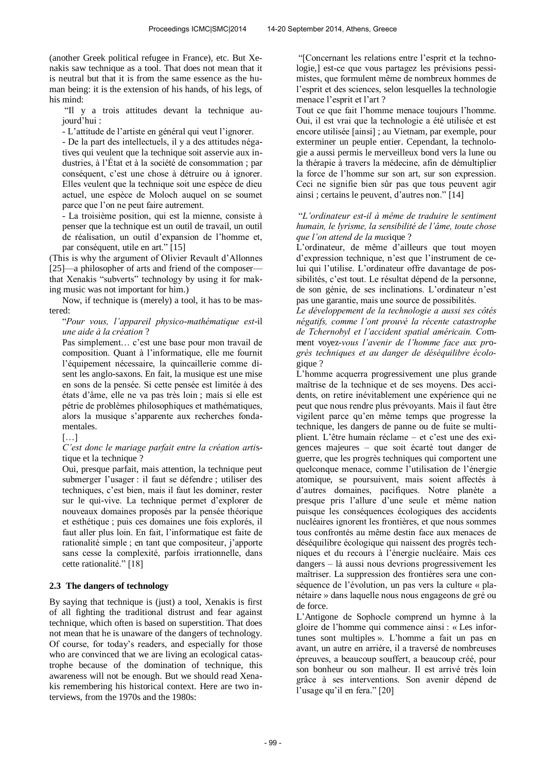(another Greek political refugee in France), etc. But Xenakis saw technique as a tool. That does not mean that it is neutral but that it is from the same essence as the human being: it is the extension of his hands, of his legs, of his mind:

"Il y a trois attitudes devant la technique aujourd'hui :

- L'attitude de l'artiste en général qui veut l'ignorer.

- De la part des intellectuels, il y a des attitudes négatives qui veulent que la technique soit asservie aux industries, à l'État et à la société de consommation ; par conséquent, c'est une chose à détruire ou à ignorer. Elles veulent que la technique soit une espèce de dieu actuel, une espèce de Moloch auquel on se soumet parce que l'on ne peut faire autrement.

- La troisième position, qui est la mienne, consiste à penser que la technique est un outil de travail, un outil de réalisation, un outil d'expansion de l'homme et, par conséquent, utile en art." [15]

(This is why the argument of Olivier Revault d'Allonnes [25]—a philosopher of arts and friend of the composer that Xenakis "subverts" technology by using it for making music was not important for him.)

Now, if technique is (merely) a tool, it has to be mastered:

#### "Pour vous, l'appareil physico-mathématique est-il *une aide à la création* ?

Pas simplement… c'est une base pour mon travail de composition. Quant à l'informatique, elle me fournit l'équipement nécessaire, la quincaillerie comme disent les anglo-saxons. En fait, la musique est une mise en sons de la pensée. Si cette pensée est limitée à des états d'âme, elle ne va pas très loin ; mais si elle est pétrie de problèmes philosophiques et mathématiques, alors la musique s'apparente aux recherches fondamentales.

 $[\ldots]$ 

#### *C'est donc le mariage parfait entre la création artis*tique et la technique ?

Oui, presque parfait, mais attention, la technique peut submerger l'usager : il faut se défendre ; utiliser des techniques, c'est bien, mais il faut les dominer, rester sur le qui-vive. La technique permet d'explorer de nouveaux domaines proposés par la pensée théorique et esthétique ; puis ces domaines une fois explorés, il faut aller plus loin. En fait, l'informatique est faite de rationalité simple ; en tant que compositeur, j'apporte sans cesse la complexité, parfois irrationnelle, dans cette rationalité." [18]

## **2.3 The dangers of technology**

By saying that technique is (just) a tool. Xenakis is first of all fighting the traditional distrust and fear against technique, which often is based on superstition. That does not mean that he is unaware of the dangers of technology. Of course, for today's readers, and especially for those who are convinced that we are living an ecological catastrophe because of the domination of technique, this awareness will not be enough. But we should read Xenakis remembering his historical context. Here are two interviews, from the 1970s and the 1980s:

"[Concernant les relations entre l'esprit et la technologie,] est-ce que vous partagez les prévisions pessimistes, que formulent même de nombreux hommes de l'esprit et des sciences, selon lesquelles la technologie menace l'esprit et l'art ?

Tout ce que fait l'homme menace toujours l'homme. Oui, il est vrai que la technologie a été utilisée et est encore utilisée [ainsi] ; au Vietnam, par exemple, pour exterminer un peuple entier. Cependant, la technologie a aussi permis le merveilleux bond vers la lune ou la thérapie à travers la médecine, afin de démultiplier la force de l'homme sur son art, sur son expression. Ceci ne signifie bien sûr pas que tous peuvent agir ainsi ; certains le peuvent, d'autres non." [14]

## "L'ordinateur est-il à même de traduire le sentiment *humain, le lyrisme, la sensibilité de l'âme, toute chose que l'on attend de la musique ?*

L'ordinateur, de même d'ailleurs que tout moyen d'expression technique, n'est que l'instrument de celui qui l'utilise. L'ordinateur offre davantage de possibilités, c'est tout. Le résultat dépend de la personne, de son génie, de ses inclinations. L'ordinateur n'est pas une garantie, mais une source de possibilités.

*Le développement de la technologie a aussi ses côtés négatifs, comme l'ont prouvé la récente catastrophe* de Tchernobyl et l'accident spatial américain. Comment voyez-*vous l'avenir de l'homme face aux pro*grès techniques et au danger de déséquilibre écologique ?

L'homme acquerra progressivement une plus grande maîtrise de la technique et de ses moyens. Des accidents, on retire inévitablement une expérience qui ne peut que nous rendre plus prévoyants. Mais il faut être vigilent parce qu'en même temps que progresse la technique, les dangers de panne ou de fuite se multiplient. L'être humain réclame – et c'est une des exigences majeures – que soit écarté tout danger de guerre, que les progrès techniques qui comportent une quelconque menace, comme l'utilisation de l'énergie atomique, se poursuivent, mais soient affectés à d'autres domaines, pacifiques. Notre planète a presque pris l'allure d'une seule et même nation puisque les conséquences écologiques des accidents nucléaires ignorent les frontières, et que nous sommes tous confrontés au même destin face aux menaces de déséquilibre écologique qui naissent des progrès techniques et du recours à l'énergie nucléaire. Mais ces dangers – là aussi nous devrions progressivement les maîtriser. La suppression des frontières sera une conséquence de l'évolution, un pas vers la culture « planétaire » dans laquelle nous nous engageons de gré ou de force.

L'Antigone de Sophocle comprend un hymne à la gloire de l'homme qui commence ainsi : « Les infortunes sont multiples ». L'homme a fait un pas en avant, un autre en arrière, il a traversé de nombreuses épreuves, a beaucoup souffert, a beaucoup créé, pour son bonheur ou son malheur. Il est arrivé très loin grâce à ses interventions. Son avenir dépend de l'usage qu'il en fera." [20]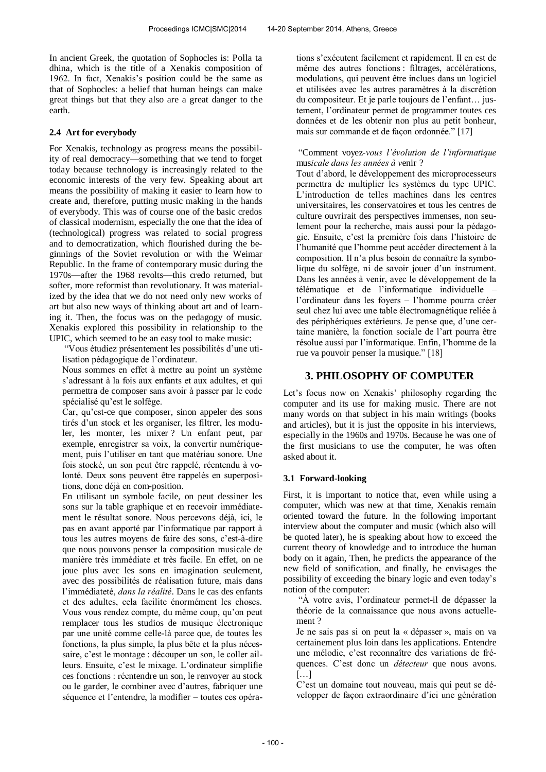In ancient Greek, the quotation of Sophocles is: Polla ta dhina, which is the title of a Xenakis composition of 1962. In fact, Xenakis's position could be the same as that of Sophocles: a belief that human beings can make great things but that they also are a great danger to the earth.

# **2.4 Art for everybody**

For Xenakis, technology as progress means the possibility of real democracy—something that we tend to forget today because technology is increasingly related to the economic interests of the very few. Speaking about art means the possibility of making it easier to learn how to create and, therefore, putting music making in the hands of everybody. This was of course one of the basic credos of classical modernism, especially the one that the idea of (technological) progress was related to social progress and to democratization, which flourished during the beginnings of the Soviet revolution or with the Weimar Republic. In the frame of contemporary music during the 1970s—after the 1968 revolts—this credo returned, but softer, more reformist than revolutionary. It was materialized by the idea that we do not need only new works of art but also new ways of thinking about art and of learning it. Then, the focus was on the pedagogy of music. Xenakis explored this possibility in relationship to the UPIC, which seemed to be an easy tool to make music:

"Vous étudiez présentement les possibilités d'une utilisation pédagogique de l'ordinateur.

Nous sommes en effet à mettre au point un système s'adressant à la fois aux enfants et aux adultes, et qui permettra de composer sans avoir à passer par le code spécialisé qu'est le solfège.

Car, qu'est-ce que composer, sinon appeler des sons tirés d'un stock et les organiser, les filtrer, les moduler, les monter, les mixer ? Un enfant peut, par exemple, enregistrer sa voix, la convertir numériquement, puis l'utiliser en tant que matériau sonore. Une fois stocké, un son peut être rappelé, réentendu à volonté. Deux sons peuvent être rappelés en superpositions, donc déjà en com-position.

En utilisant un symbole facile, on peut dessiner les sons sur la table graphique et en recevoir immédiatement le résultat sonore. Nous percevons déjà, ici, le pas en avant apporté par l'informatique par rapport à tous les autres moyens de faire des sons, c'est-à-dire que nous pouvons penser la composition musicale de manière très immédiate et très facile. En effet, on ne joue plus avec les sons en imagination seulement, avec des possibilités de réalisation future, mais dans l'immédiateté, *dans la réalité*. Dans le cas des enfants et des adultes, cela facilite énormément les choses. Vous vous rendez compte, du même coup, qu'on peut remplacer tous les studios de musique électronique par une unité comme celle-là parce que, de toutes les fonctions, la plus simple, la plus bête et la plus nécessaire, c'est le montage : découper un son, le coller ailleurs. Ensuite, c'est le mixage. L'ordinateur simplifie ces fonctions : réentendre un son, le renvoyer au stock ou le garder, le combiner avec d'autres, fabriquer une séquence et l'entendre, la modifier – toutes ces opérations s'exécutent facilement et rapidement. Il en est de même des autres fonctions : filtrages, accélérations, modulations, qui peuvent être inclues dans un logiciel et utilisées avec les autres paramètres à la discrétion du compositeur. Et je parle toujours de l'enfant… justement, l'ordinateur permet de programmer toutes ces données et de les obtenir non plus au petit bonheur, mais sur commande et de façon ordonnée." [17]

## "Comment voyez-*vous l'évolution de l'informatique* musicale dans les années à venir ?

Tout d'abord, le développement des microprocesseurs permettra de multiplier les systèmes du type UPIC. L'introduction de telles machines dans les centres universitaires, les conservatoires et tous les centres de culture ouvrirait des perspectives immenses, non seulement pour la recherche, mais aussi pour la pédagogie. Ensuite, c'est la première fois dans l'histoire de l'humanité que l'homme peut accéder directement à la composition. Il n'a plus besoin de connaître la symbolique du solfège, ni de savoir jouer d'un instrument. Dans les années à venir, avec le développement de la télématique et de l'informatique individuelle – l'ordinateur dans les foyers – l'homme pourra créer seul chez lui avec une table électromagnétique reliée à des périphériques extérieurs. Je pense que, d'une certaine manière, la fonction sociale de l'art pourra être résolue aussi par l'informatique. Enfin, l'homme de la rue va pouvoir penser la musique." [18]

# **3. PHILOSOPHY OF COMPUTER**

Let's focus now on Xenakis' philosophy regarding the computer and its use for making music. There are not many words on that subject in his main writings (books and articles), but it is just the opposite in his interviews, especially in the 1960s and 1970s. Because he was one of the first musicians to use the computer, he was often asked about it.

# **3.1 Forward-looking**

First, it is important to notice that, even while using a computer, which was new at that time, Xenakis remain oriented toward the future. In the following important interview about the computer and music (which also will be quoted later), he is speaking about how to exceed the current theory of knowledge and to introduce the human body on it again, Then, he predicts the appearance of the new field of sonification, and finally, he envisages the possibility of exceeding the binary logic and even today's notion of the computer:

"À votre avis, l'ordinateur permet-il de dépasser la théorie de la connaissance que nous avons actuellement ?

Je ne sais pas si on peut la « dépasser », mais on va certainement plus loin dans les applications. Entendre une mélodie, c'est reconnaître des variations de fréquences. C'est donc un *détecteur* que nous avons. […]

C'est un domaine tout nouveau, mais qui peut se développer de façon extraordinaire d'ici une génération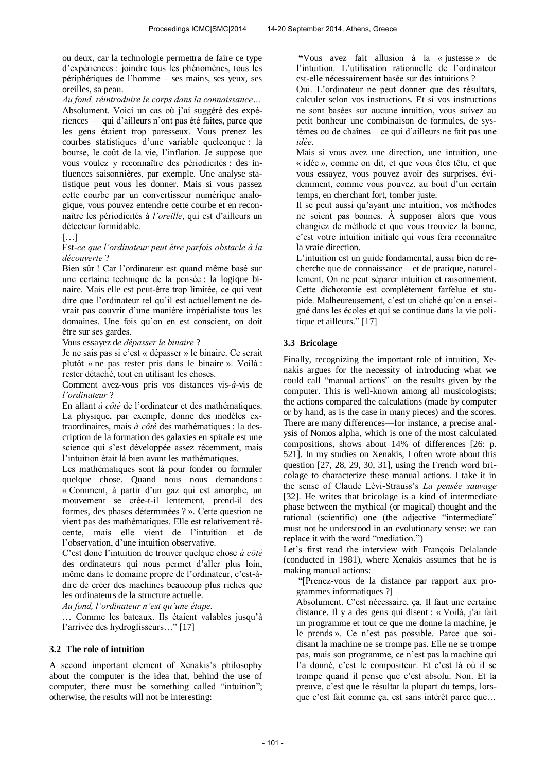ou deux, car la technologie permettra de faire ce type d'expériences : joindre tous les phénomènes, tous les périphériques de l'homme – ses mains, ses yeux, ses oreilles, sa peau.

*Au fond, réintroduire le corps dans la connaissance...* Absolument. Voici un cas où j'ai suggéré des expériences — qui d'ailleurs n'ont pas été faites, parce que les gens étaient trop paresseux. Vous prenez les courbes statistiques d'une variable quelconque : la bourse, le coût de la vie, l'inflation. Je suppose que vous voulez y reconnaître des périodicités : des influences saisonnières, par exemple. Une analyse statistique peut vous les donner. Mais si vous passez cette courbe par un convertisseur numérique analogique, vous pouvez entendre cette courbe et en reconnaître les périodicités à *l'oreille*, qui est d'ailleurs un détecteur formidable.

[…]

Est-ce que l'ordinateur peut être parfois obstacle à la *découverte* ?

Bien sûr ! Car l'ordinateur est quand même basé sur une certaine technique de la pensée : la logique binaire. Mais elle est peut-être trop limitée, ce qui veut dire que l'ordinateur tel qu'il est actuellement ne devrait pas couvrir d'une manière impérialiste tous les domaines. Une fois qu'on en est conscient, on doit être sur ses gardes.

Vous essayez de *dépasser le binaire* ?

Je ne sais pas si c'est « dépasser » le binaire. Ce serait plutôt « ne pas rester pris dans le binaire ». Voilà : rester détaché, tout en utilisant les choses.

Comment avez-vous pris vos distances vis-*à*-vis de *l'ordinateur* ?

En allant *à côté* de l'ordinateur et des mathématiques. La physique, par exemple, donne des modèles extraordinaires, mais *à côté* des mathématiques : la description de la formation des galaxies en spirale est une science qui s'est développée assez récemment, mais l'intuition était là bien avant les mathématiques.

Les mathématiques sont là pour fonder ou formuler quelque chose. Quand nous nous demandons : « Comment, à partir d'un gaz qui est amorphe, un mouvement se crée-t-il lentement, prend-il des formes, des phases déterminées ? ». Cette question ne vient pas des mathématiques. Elle est relativement récente, mais elle vient de l'intuition et de l'observation, d'une intuition observative.

C'est donc l'intuition de trouver quelque chose *à côté* des ordinateurs qui nous permet d'aller plus loin, même dans le domaine propre de l'ordinateur, c'est-àdire de créer des machines beaucoup plus riches que les ordinateurs de la structure actuelle.

*Au fond, l'ordinateur n'est qu'une étape.* 

… Comme les bateaux. Ils étaient valables jusqu'à l'arrivée des hydroglisseurs…" [17]

## **3.2 The role of intuition**

A second important element of Xenakis's philosophy about the computer is the idea that, behind the use of computer, there must be something called "intuition"; otherwise, the results will not be interesting:

**"**Vous avez fait allusion à la « justesse » de l'intuition. L'utilisation rationnelle de l'ordinateur est-elle nécessairement basée sur des intuitions ?

Oui. L'ordinateur ne peut donner que des résultats, calculer selon vos instructions. Et si vos instructions ne sont basées sur aucune intuition, vous suivez au petit bonheur une combinaison de formules, de systèmes ou de chaînes – ce qui d'ailleurs ne fait pas une *idée*.

Mais si vous avez une direction, une intuition, une « idée », comme on dit, et que vous êtes têtu, et que vous essayez, vous pouvez avoir des surprises, évidemment, comme vous pouvez, au bout d'un certain temps, en cherchant fort, tomber juste.

Il se peut aussi qu'ayant une intuition, vos méthodes ne soient pas bonnes. À supposer alors que vous changiez de méthode et que vous trouviez la bonne, c'est votre intuition initiale qui vous fera reconnaître la vraie direction.

L'intuition est un guide fondamental, aussi bien de recherche que de connaissance – et de pratique, naturellement. On ne peut séparer intuition et raisonnement. Cette dichotomie est complètement farfelue et stupide. Malheureusement, c'est un cliché qu'on a enseigné dans les écoles et qui se continue dans la vie politique et ailleurs." [17]

## **3.3 Bricolage**

Finally, recognizing the important role of intuition, Xenakis argues for the necessity of introducing what we could call "manual actions" on the results given by the computer. This is well-known among all musicologists; the actions compared the calculations (made by computer or by hand, as is the case in many pieces) and the scores. There are many differences—for instance, a precise analysis of Nomos alpha, which is one of the most calculated compositions, shows about 14% of differences [26: p. 521]. In my studies on Xenakis, I often wrote about this question [27, 28, 29, 30, 31], using the French word bricolage to characterize these manual actions. I take it in the sense of Claude Lévi-Strauss's *La pensée sauvage* [32]. He writes that bricolage is a kind of intermediate phase between the mythical (or magical) thought and the rational (scientific) one (the adjective "intermediate" must not be understood in an evolutionary sense: we can replace it with the word "mediation.")

Let's first read the interview with François Delalande (conducted in 1981), where Xenakis assumes that he is making manual actions:

"[Prenez-vous de la distance par rapport aux programmes informatiques ?]

Absolument. C'est nécessaire, ça. Il faut une certaine distance. Il y a des gens qui disent : « Voilà, j'ai fait un programme et tout ce que me donne la machine, je le prends ». Ce n'est pas possible. Parce que soidisant la machine ne se trompe pas. Elle ne se trompe pas, mais son programme, ce n'est pas la machine qui l'a donné, c'est le compositeur. Et c'est là où il se trompe quand il pense que c'est absolu. Non. Et la preuve, c'est que le résultat la plupart du temps, lorsque c'est fait comme ça, est sans intérêt parce que…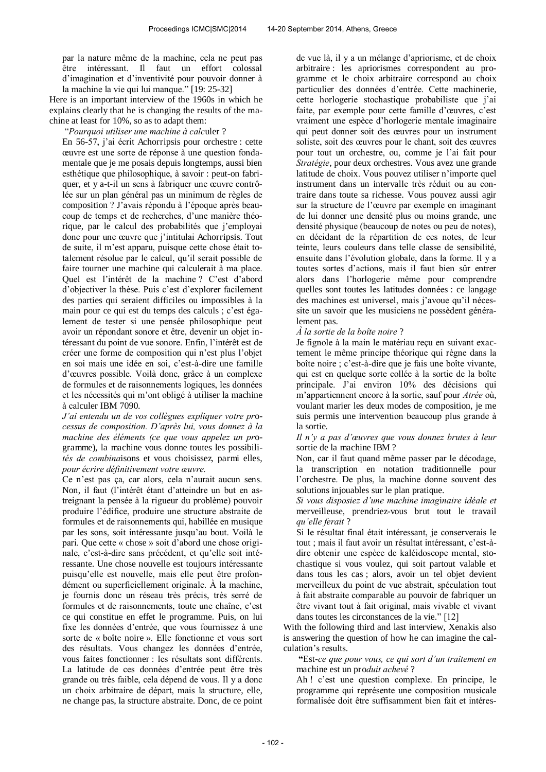par la nature même de la machine, cela ne peut pas être intéressant. Il faut un effort colossal d'imagination et d'inventivité pour pouvoir donner à la machine la vie qui lui manque." [19: 25-32]

Here is an important interview of the 1960s in which he explains clearly that he is changing the results of the machine at least for 10%, so as to adapt them:

"Pourquoi utiliser une machine à calculer ?

En 56-57, j'ai écrit Achorripsis pour orchestre : cette œuvre est une sorte de réponse à une question fondamentale que je me posais depuis longtemps, aussi bien esthétique que philosophique, à savoir : peut-on fabriquer, et y a-t-il un sens à fabriquer une œuvre contrôlée sur un plan général pas un minimum de règles de composition ? J'avais répondu à l'époque après beaucoup de temps et de recherches, d'une manière théorique, par le calcul des probabilités que j'employai donc pour une œuvre que j'intitulai Achorripsis. Tout de suite, il m'est apparu, puisque cette chose était totalement résolue par le calcul, qu'il serait possible de faire tourner une machine qui calculerait à ma place. Quel est l'intérêt de la machine ? C'est d'abord d'objectiver la thèse. Puis c'est d'explorer facilement des parties qui seraient difficiles ou impossibles à la main pour ce qui est du temps des calculs ; c'est également de tester si une pensée philosophique peut avoir un répondant sonore et être, devenir un objet intéressant du point de vue sonore. Enfin, l'intérêt est de créer une forme de composition qui n'est plus l'objet en soi mais une idée en soi, c'est-à-dire une famille d'œuvres possible. Voilà donc, grâce à un complexe de formules et de raisonnements logiques, les données et les nécessités qui m'ont obligé à utiliser la machine à calculer IBM 7090.

*J'ai entendu un de vos collègues expliquer votre processus de composition. D'après lui, vous donnez à la machine des éléments (ce que vous appelez un pro*gramme), la machine vous donne toutes les possibili*tés de combinaisons et vous choisissez, parmi elles, pour écrire définitivement votre œuvre.* 

Ce n'est pas ça, car alors, cela n'aurait aucun sens. Non, il faut (l'intérêt étant d'atteindre un but en astreignant la pensée à la rigueur du problème) pouvoir produire l'édifice, produire une structure abstraite de formules et de raisonnements qui, habillée en musique par les sons, soit intéressante jusqu'au bout. Voilà le pari. Que cette « chose » soit d'abord une chose originale, c'est-à-dire sans précédent, et qu'elle soit intéressante. Une chose nouvelle est toujours intéressante puisqu'elle est nouvelle, mais elle peut être profondément ou superficiellement originale. À la machine, je fournis donc un réseau très précis, très serré de formules et de raisonnements, toute une chaîne, c'est ce qui constitue en effet le programme. Puis, on lui fixe les données d'entrée, que vous fournissez à une sorte de « boîte noire ». Elle fonctionne et vous sort des résultats. Vous changez les données d'entrée, vous faites fonctionner : les résultats sont différents. La latitude de ces données d'entrée peut être très grande ou très faible, cela dépend de vous. Il y a donc un choix arbitraire de départ, mais la structure, elle, ne change pas, la structure abstraite. Donc, de ce point de vue là, il y a un mélange d'apriorisme, et de choix arbitraire : les apriorismes correspondent au programme et le choix arbitraire correspond au choix particulier des données d'entrée. Cette machinerie, cette horlogerie stochastique probabiliste que j'ai faite, par exemple pour cette famille d'œuvres, c'est vraiment une espèce d'horlogerie mentale imaginaire qui peut donner soit des œuvres pour un instrument soliste, soit des œuvres pour le chant, soit des œuvres pour tout un orchestre, ou, comme je l'ai fait pour *Stratégie*, pour deux orchestres. Vous avez une grande latitude de choix. Vous pouvez utiliser n'importe quel instrument dans un intervalle très réduit ou au contraire dans toute sa richesse. Vous pouvez aussi agir sur la structure de l'œuvre par exemple en imaginant de lui donner une densité plus ou moins grande, une densité physique (beaucoup de notes ou peu de notes), en décidant de la répartition de ces notes, de leur teinte, leurs couleurs dans telle classe de sensibilité ensuite dans l'évolution globale, dans la forme. Il y a toutes sortes d'actions, mais il faut bien sûr entrer alors dans l'horlogerie même pour comprendre quelles sont toutes les latitudes données : ce langage des machines est universel, mais j'avoue qu'il nécessite un savoir que les musiciens ne possèdent généralement pas.

#### *À la sortie de la boîte noire?*

Je fignole à la main le matériau reçu en suivant exactement le même principe théorique qui règne dans la boîte noire ; c'est-à-dire que je fais une boîte vivante, qui est en quelque sorte collée à la sortie de la boîte principale. J'ai environ 10% des décisions qui m'appartiennent encore à la sortie, sauf pour *Atrée* où, voulant marier les deux modes de composition, je me suis permis une intervention beaucoup plus grande à la sortie.

*Il n'y a pas d'œuvres que vous donnez brutes à leur* sortie de la machine IBM ?

Non, car il faut quand même passer par le décodage, la transcription en notation traditionnelle pour l'orchestre. De plus, la machine donne souvent des solutions injouables sur le plan pratique.

*Si vous disposiez d'une machine imaginaire idéale et* merveilleuse, prendriez-vous brut tout le travail *qu'elle ferait?* 

Si le résultat final était intéressant, je conserverais le tout ; mais il faut avoir un résultat intéressant, c'est-àdire obtenir une espèce de kaléidoscope mental, stochastique si vous voulez, qui soit partout valable et dans tous les cas ; alors, avoir un tel objet devient merveilleux du point de vue abstrait, spéculation tout à fait abstraite comparable au pouvoir de fabriquer un être vivant tout à fait original, mais vivable et vivant dans toutes les circonstances de la vie." [12]

With the following third and last interview, Xenakis also is answering the question of how he can imagine the calculation's results.

**"Est-ce que pour vous, ce qui sort d'un traitement en** machine est un pro*duit achevé* ?

Ah ! c'est une question complexe. En principe, le programme qui représente une composition musicale formalisée doit être suffisamment bien fait et intéres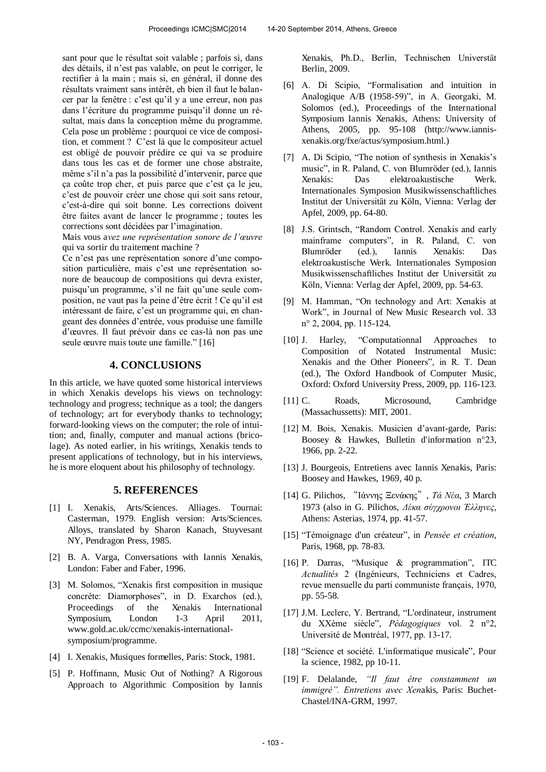sant pour que le résultat soit valable ; parfois si, dans des détails, il n'est pas valable, on peut le corriger, le rectifier à la main ; mais si, en général, il donne des résultats vraiment sans intérêt, eh bien il faut le balancer par la fenêtre : c'est qu'il y a une erreur, non pas dans l'écriture du programme puisqu'il donne un résultat, mais dans la conception même du programme. Cela pose un problème : pourquoi ce vice de composition, et comment ? C'est là que le compositeur actuel est obligé de pouvoir prédire ce qui va se produire dans tous les cas et de former une chose abstraite, même s'il n'a pas la possibilité d'intervenir, parce que ça coûte trop cher, et puis parce que c'est ça le jeu, c'est de pouvoir créer une chose qui soit sans retour, c'est-à-dire qui soit bonne. Les corrections doivent être faites avant de lancer le programme ; toutes les corrections sont décidées par l'imagination.

Mais vous a*vez une représentation sonore de l'œuvre* qui va sortir du traitement machine ?

Ce n'est pas une représentation sonore d'une composition particulière, mais c'est une représentation sonore de beaucoup de compositions qui devra exister, puisqu'un programme, s'il ne fait qu'une seule composition, ne vaut pas la peine d'être écrit ! Ce qu'il est intéressant de faire, c'est un programme qui, en changeant des données d'entrée, vous produise une famille d'œuvres. Il faut prévoir dans ce cas-là non pas une seule œuvre mais toute une famille." [16]

# **4. CONCLUSIONS**

In this article, we have quoted some historical interviews in which Xenakis develops his views on technology: technology and progress; technique as a tool; the dangers of technology; art for everybody thanks to technology; forward-looking views on the computer; the role of intuition; and, finally, computer and manual actions (bricolage). As noted earlier, in his writings, Xenakis tends to present applications of technology, but in his interviews, he is more eloquent about his philosophy of technology.

## **5. REFERENCES**

- [1] I. Xenakis, Arts/Sciences. Alliages. Tournai: Casterman, 1979. English version: Arts/Sciences. Alloys, translated by Sharon Kanach, Stuyvesant NY, Pendragon Press, 1985.
- [2] B. A. Varga, Conversations with Iannis Xenakis, London: Faber and Faber, 1996.
- [3] M. Solomos, "Xenakis first composition in musique concrète: Diamorphoses", in D. Exarchos (ed.), Proceedings of the Xenakis International Symposium, London 1-3 April 2011, www.gold.ac.uk/ccmc/xenakis-internationalsymposium/programme.
- [4] I. Xenakis, Musiques formelles, Paris: Stock, 1981.
- [5] P. Hoffmann, Music Out of Nothing? A Rigorous Approach to Algorithmic Composition by Iannis

Xenakis, Ph.D., Berlin, Technischen Universtät Berlin, 2009.

- [6] A. Di Scipio, "Formalisation and intuition in Analogique A/B (1958-59)", in A. Georgaki, M. Solomos (ed.), Proceedings of the International Symposium Iannis Xenakis, Athens: University of Athens, 2005, pp. 95-108 (http://www.iannisxenakis.org/fxe/actus/symposium.html.)
- [7] A. Di Scipio, "The notion of synthesis in Xenakis's music", in R. Paland, C. von Blumröder (ed.), Iannis Xenakis: Das elektroakustische Werk. Internationales Symposion Musikwissenschaftliches Institut der Universität zu Köln, Vienna: Verlag der Apfel, 2009, pp. 64-80.
- [8] J.S. Grintsch, "Random Control. Xenakis and early mainframe computers", in R. Paland, C. von Blumröder (ed.), Iannis Xenakis: Das elektroakustische Werk. Internationales Symposion Musikwissenschaftliches Institut der Universität zu Köln, Vienna: Verlag der Apfel, 2009, pp. 54-63.
- [9] M. Hamman, "On technology and Art: Xenakis at Work", in Journal of New Music Research vol. 33 n° 2, 2004, pp. 115-124.
- [10] J. Harley, "Computationnal Approaches to Composition of Notated Instrumental Music: Xenakis and the Other Pioneers", in R. T. Dean (ed.), The Oxford Handbook of Computer Music, Oxford: Oxford University Press, 2009, pp. 116-123.
- [11] C. Roads, Microsound, Cambridge (Massachussetts): MIT, 2001.
- [12] M. Bois, Xenakis. Musicien d'avant-garde, Paris: Boosey & Hawkes, Bulletin d'information n°23, 1966, pp. 2-22.
- [13] J. Bourgeois, Entretiens avec Iannis Xenakis, Paris: Boosey and Hawkes, 1969, 40 p.
- [14] G. Pilichos, "Ιάννης Ξενάκης", *Τά Νέα*, 3 March 1973 (also in G. Pilichos, Δέκα σύγχρονοι Έλληνες, Athens: Asterias, 1974, pp. 41-57.
- [15] "Témoignage d'un créateur", in Pensée et création, Paris, 1968, pp. 78-83.
- [16] P. Darras, "Musique & programmation", ITC *Actualités* 2 (Ingénieurs, Techniciens et Cadres, revue mensuelle du parti communiste français, 1970, pp. 55-58.
- [17] J.M. Leclerc, Y. Bertrand, "L'ordinateur, instrument du XXème siècle", *Pédagogiques* vol. 2 n°2, Université de Montréal, 1977, pp. 13-17.
- [18] "Science et société. L'informatique musicale", Pour la science, 1982, pp 10-11.
- [19] F. Delalande, *"Il faut être constamment un immigré". Entretiens avec Xenakis*, Paris: Buchet-Chastel/INA-GRM, 1997.